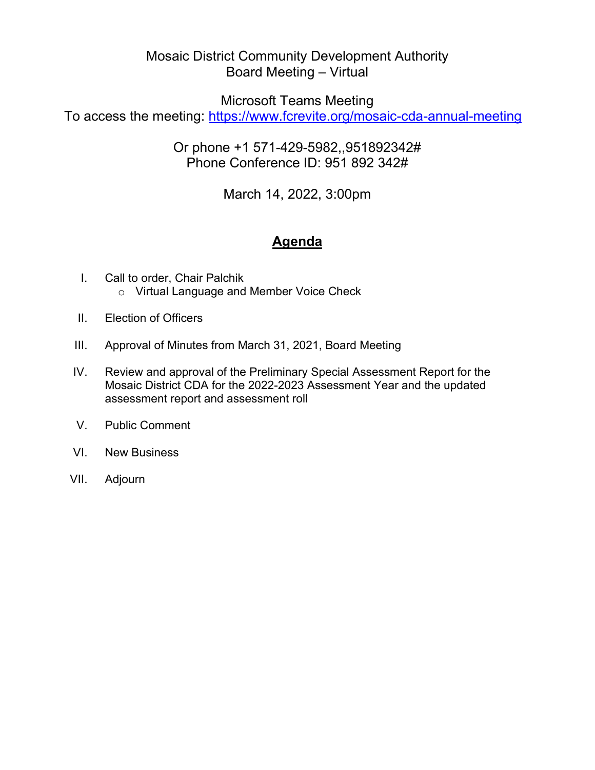# Board Meeting – Virtual Mosaic District Community Development Authority

Microsoft Teams Meeting

To access the meeting: <u>https://www.fcrevite.org/mosaic-cda-annual-meeting</u>

Or phone +1 571-429-5982,,951892342# Phone Conference ID: 951 892 342#

March 14, 2022, 3:00pm

# **Agenda**

- I. Call to order, Chair Palchik o Virtual Language and Member Voice Check
- II. Election of Officers
- III. Approval of Minutes from March 31, 2021, Board Meeting
- IV. Review and approval of the Preliminary Special Assessment Report for the Mosaic District CDA for the 2022-2023 Assessment Year and the updated assessment report and assessment roll
- V. Public Comment
- VI. New Business
- VII. Adjourn